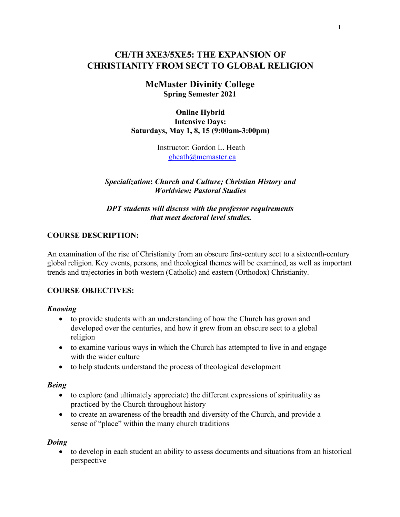# **CH/TH 3XE3/5XE5: THE EXPANSION OF CHRISTIANITY FROM SECT TO GLOBAL RELIGION**

**McMaster Divinity College Spring Semester 2021**

**Online Hybrid Intensive Days: Saturdays, May 1, 8, 15 (9:00am-3:00pm)**

> Instructor: Gordon L. Heath gheath@mcmaster.ca

*Specialization***:** *Church and Culture; Christian History and Worldview; Pastoral Studies*

*DPT students will discuss with the professor requirements that meet doctoral level studies.*

## **COURSE DESCRIPTION:**

An examination of the rise of Christianity from an obscure first-century sect to a sixteenth-century global religion. Key events, persons, and theological themes will be examined, as well as important trends and trajectories in both western (Catholic) and eastern (Orthodox) Christianity.

## **COURSE OBJECTIVES:**

## *Knowing*

- to provide students with an understanding of how the Church has grown and developed over the centuries, and how it grew from an obscure sect to a global religion
- to examine various ways in which the Church has attempted to live in and engage with the wider culture
- to help students understand the process of theological development

## *Being*

- to explore (and ultimately appreciate) the different expressions of spirituality as practiced by the Church throughout history
- to create an awareness of the breadth and diversity of the Church, and provide a sense of "place" within the many church traditions

#### *Doing*

• to develop in each student an ability to assess documents and situations from an historical perspective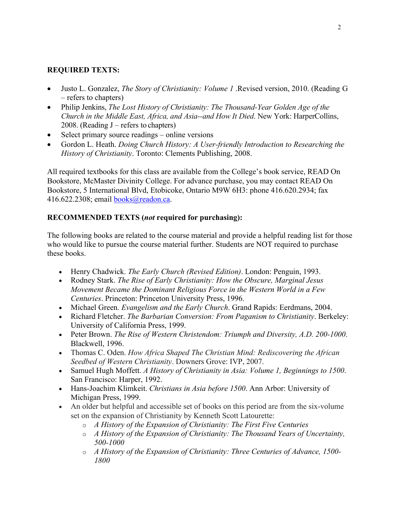## **REQUIRED TEXTS:**

- Justo L. Gonzalez, *The Story of Christianity: Volume 1* .Revised version, 2010. (Reading G – refers to chapters)
- Philip Jenkins, *The Lost History of Christianity: The Thousand-Year Golden Age of the Church in the Middle East, Africa, and Asia--and How It Died*. New York: HarperCollins, 2008. (Reading J – refers to chapters)
- Select primary source readings online versions
- Gordon L. Heath. *Doing Church History: A User-friendly Introduction to Researching the History of Christianity*. Toronto: Clements Publishing, 2008.

All required textbooks for this class are available from the College's book service, READ On Bookstore, McMaster Divinity College. For advance purchase, you may contact READ On Bookstore, 5 International Blvd, Etobicoke, Ontario M9W 6H3: phone 416.620.2934; fax 416.622.2308; email books@readon.ca.

## **RECOMMENDED TEXTS (***not* **required for purchasing):**

The following books are related to the course material and provide a helpful reading list for those who would like to pursue the course material further. Students are NOT required to purchase these books.

- Henry Chadwick. *The Early Church (Revised Edition)*. London: Penguin, 1993.
- Rodney Stark. *The Rise of Early Christianity: How the Obscure, Marginal Jesus Movement Became the Dominant Religious Force in the Western World in a Few Centuries*. Princeton: Princeton University Press, 1996.
- Michael Green. *Evangelism and the Early Church*. Grand Rapids: Eerdmans, 2004.
- Richard Fletcher. *The Barbarian Conversion: From Paganism to Christianity*. Berkeley: University of California Press, 1999.
- Peter Brown. *The Rise of Western Christendom: Triumph and Diversity, A.D. 200-1000*. Blackwell, 1996.
- Thomas C. Oden. *How Africa Shaped The Christian Mind: Rediscovering the African Seedbed of Western Christianity*. Downers Grove: IVP, 2007.
- Samuel Hugh Moffett. *A History of Christianity in Asia: Volume 1, Beginnings to 1500*. San Francisco: Harper, 1992.
- Hans-Joachim Klimkeit. *Christians in Asia before 1500*. Ann Arbor: University of Michigan Press, 1999.
- An older but helpful and accessible set of books on this period are from the six-volume set on the expansion of Christianity by Kenneth Scott Latourette:
	- o *A History of the Expansion of Christianity: The First Five Centuries*
	- o *A History of the Expansion of Christianity: The Thousand Years of Uncertainty, 500-1000*
	- o *A History of the Expansion of Christianity: Three Centuries of Advance, 1500- 1800*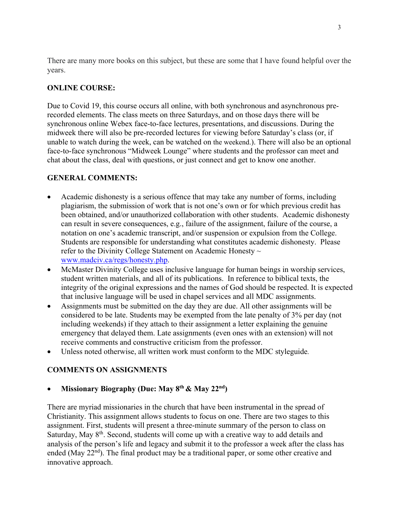There are many more books on this subject, but these are some that I have found helpful over the years.

## **ONLINE COURSE:**

Due to Covid 19, this course occurs all online, with both synchronous and asynchronous prerecorded elements. The class meets on three Saturdays, and on those days there will be synchronous online Webex face-to-face lectures, presentations, and discussions. During the midweek there will also be pre-recorded lectures for viewing before Saturday's class (or, if unable to watch during the week, can be watched on the weekend.). There will also be an optional face-to-face synchronous "Midweek Lounge" where students and the professor can meet and chat about the class, deal with questions, or just connect and get to know one another.

## **GENERAL COMMENTS:**

- Academic dishonesty is a serious offence that may take any number of forms, including plagiarism, the submission of work that is not one's own or for which previous credit has been obtained, and/or unauthorized collaboration with other students. Academic dishonesty can result in severe consequences, e.g., failure of the assignment, failure of the course, a notation on one's academic transcript, and/or suspension or expulsion from the College. Students are responsible for understanding what constitutes academic dishonesty. Please refer to the Divinity College Statement on Academic Honesty  $\sim$ www.madciv.ca/regs/honesty.php.
- McMaster Divinity College uses inclusive language for human beings in worship services, student written materials, and all of its publications. In reference to biblical texts, the integrity of the original expressions and the names of God should be respected. It is expected that inclusive language will be used in chapel services and all MDC assignments.
- Assignments must be submitted on the day they are due. All other assignments will be considered to be late. Students may be exempted from the late penalty of 3% per day (not including weekends) if they attach to their assignment a letter explaining the genuine emergency that delayed them. Late assignments (even ones with an extension) will not receive comments and constructive criticism from the professor.
- Unless noted otherwise, all written work must conform to the MDC styleguide*.*

## **COMMENTS ON ASSIGNMENTS**

## • **Missionary Biography (Due: May 8th & May 22nd)**

There are myriad missionaries in the church that have been instrumental in the spread of Christianity. This assignment allows students to focus on one. There are two stages to this assignment. First, students will present a three-minute summary of the person to class on Saturday, May 8<sup>th</sup>. Second, students will come up with a creative way to add details and analysis of the person's life and legacy and submit it to the professor a week after the class has ended (May 22<sup>nd</sup>). The final product may be a traditional paper, or some other creative and innovative approach.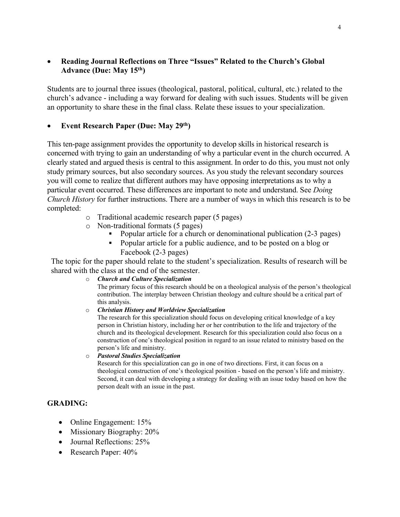#### • **Reading Journal Reflections on Three "Issues" Related to the Church's Global Advance (Due: May 15th)**

Students are to journal three issues (theological, pastoral, political, cultural, etc.) related to the church's advance - including a way forward for dealing with such issues. Students will be given an opportunity to share these in the final class. Relate these issues to your specialization.

## • **Event Research Paper (Due: May 29th)**

This ten-page assignment provides the opportunity to develop skills in historical research is concerned with trying to gain an understanding of why a particular event in the church occurred. A clearly stated and argued thesis is central to this assignment. In order to do this, you must not only study primary sources, but also secondary sources. As you study the relevant secondary sources you will come to realize that different authors may have opposing interpretations as to why a particular event occurred. These differences are important to note and understand. See *Doing Church History* for further instructions. There are a number of ways in which this research is to be completed:

- o Traditional academic research paper (5 pages)
- o Non-traditional formats (5 pages)
	- Popular article for a church or denominational publication (2-3 pages)
	- § Popular article for a public audience, and to be posted on a blog or Facebook (2-3 pages)

The topic for the paper should relate to the student's specialization. Results of research will be shared with the class at the end of the semester.

o *Church and Culture Specialization*

The primary focus of this research should be on a theological analysis of the person's theological contribution. The interplay between Christian theology and culture should be a critical part of this analysis.

o *Christian History and Worldview Specialization*

The research for this specialization should focus on developing critical knowledge of a key person in Christian history, including her or her contribution to the life and trajectory of the church and its theological development. Research for this specialization could also focus on a construction of one's theological position in regard to an issue related to ministry based on the person's life and ministry.

o *Pastoral Studies Specialization*

Research for this specialization can go in one of two directions. First, it can focus on a theological construction of one's theological position - based on the person's life and ministry. Second, it can deal with developing a strategy for dealing with an issue today based on how the person dealt with an issue in the past.

## **GRADING:**

- Online Engagement: 15%
- Missionary Biography: 20%
- Journal Reflections: 25%
- Research Paper: 40%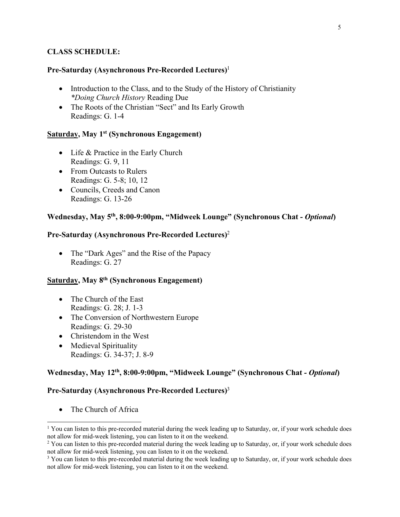#### **CLASS SCHEDULE:**

#### **Pre-Saturday (Asynchronous Pre-Recorded Lectures)** 1

- Introduction to the Class, and to the Study of the History of Christianity *\*Doing Church History* Reading Due
- The Roots of the Christian "Sect" and Its Early Growth Readings: G. 1-4

#### **Saturday, May 1st (Synchronous Engagement)**

- Life & Practice in the Early Church Readings: G. 9, 11
- From Outcasts to Rulers Readings: G. 5-8; 10, 12
- Councils, Creeds and Canon Readings: G. 13-26

#### **Wednesday, May 5th, 8:00-9:00pm, "Midweek Lounge" (Synchronous Chat** *- Optional***)**

## **Pre-Saturday (Asynchronous Pre-Recorded Lectures)** 2

• The "Dark Ages" and the Rise of the Papacy Readings: G. 27

#### **Saturday, May 8th (Synchronous Engagement)**

- The Church of the East Readings: G. 28; J. 1-3
- The Conversion of Northwestern Europe Readings: G. 29-30
- Christendom in the West
- Medieval Spirituality Readings: G. 34-37; J. 8-9

#### **Wednesday, May 12th, 8:00-9:00pm, "Midweek Lounge" (Synchronous Chat** *- Optional***)**

#### **Pre-Saturday (Asynchronous Pre-Recorded Lectures)** 3

• The Church of Africa

<sup>&</sup>lt;sup>1</sup> You can listen to this pre-recorded material during the week leading up to Saturday, or, if your work schedule does not allow for mid-week listening, you can listen to it on the weekend.

<sup>&</sup>lt;sup>2</sup> You can listen to this pre-recorded material during the week leading up to Saturday, or, if your work schedule does not allow for mid-week listening, you can listen to it on the weekend.

<sup>&</sup>lt;sup>3</sup> You can listen to this pre-recorded material during the week leading up to Saturday, or, if your work schedule does not allow for mid-week listening, you can listen to it on the weekend.